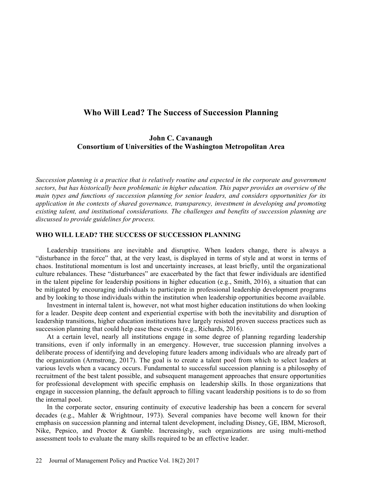# Who Will Lead? The Success of Succession Planning

## John C. Cavanaugh Consortium of Universities of the Washington Metropolitan Area

Succession planning is a practice that is relatively routine and expected in the corporate and government sectors, but has historically been problematic in higher education. This paper provides an overview of the main types and functions of succession planning for senior leaders, and considers opportunities for its application in the contexts of shared governance, transparency, investment in developing and promoting existing talent, and institutional considerations. The challenges and benefits of succession planning are discussed to provide guidelines for process.

## WHO WILL LEAD? THE SUCCESS OF SUCCESSION PLANNING

Leadership transitions are inevitable and disruptive. When leaders change, there is always a "disturbance in the force" that, at the very least, is displayed in terms of style and at worst in terms of chaos. Institutional momentum is lost and uncertainty increases, at least briefly, until the organizational culture rebalances. These "disturbances" are exacerbated by the fact that fewer individuals are identified in the talent pipeline for leadership positions in higher education (e.g., Smith, 2016), a situation that can be mitigated by encouraging individuals to participate in professional leadership development programs and by looking to those individuals within the institution when leadership opportunities become available.

Investment in internal talent is, however, not what most higher education institutions do when looking for a leader. Despite deep content and experiential expertise with both the inevitability and disruption of leadership transitions, higher education institutions have largely resisted proven success practices such as succession planning that could help ease these events (e.g., Richards, 2016).

At a certain level, nearly all institutions engage in some degree of planning regarding leadership transitions, even if only informally in an emergency. However, true succession planning involves a deliberate process of identifying and developing future leaders among individuals who are already part of the organization (Armstrong, 2017). The goal is to create a talent pool from which to select leaders at various levels when a vacancy occurs. Fundamental to successful succession planning is a philosophy of recruitment of the best talent possible, and subsequent management approaches that ensure opportunities for professional development with specific emphasis on leadership skills. In those organizations that engage in succession planning, the default approach to filling vacant leadership positions is to do so from the internal pool.

In the corporate sector, ensuring continuity of executive leadership has been a concern for several decades (e.g., Mahler & Wrightnour, 1973). Several companies have become well known for their emphasis on succession planning and internal talent development, including Disney, GE, IBM, Microsoft, Nike, Pepsico, and Proctor & Gamble. Increasingly, such organizations are using multi-method assessment tools to evaluate the many skills required to be an effective leader.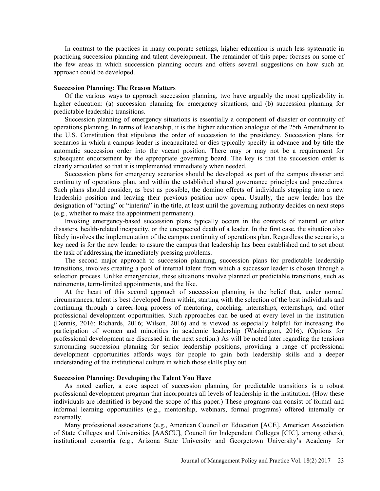In contrast to the practices in many corporate settings, higher education is much less systematic in practicing succession planning and talent development. The remainder of this paper focuses on some of the few areas in which succession planning occurs and offers several suggestions on how such an approach could be developed.

#### Succession Planning: The Reason Matters

Of the various ways to approach succession planning, two have arguably the most applicability in higher education: (a) succession planning for emergency situations; and (b) succession planning for predictable leadership transitions.

Succession planning of emergency situations is essentially a component of disaster or continuity of operations planning. In terms of leadership, it is the higher education analogue of the 25th Amendment to the U.S. Constitution that stipulates the order of succession to the presidency. Succession plans for scenarios in which a campus leader is incapacitated or dies typically specify in advance and by title the automatic succession order into the vacant position. There may or may not be a requirement for subsequent endorsement by the appropriate governing board. The key is that the succession order is clearly articulated so that it is implemented immediately when needed.

Succession plans for emergency scenarios should be developed as part of the campus disaster and continuity of operations plan, and within the established shared governance principles and procedures. Such plans should consider, as best as possible, the domino effects of individuals stepping into a new leadership position and leaving their previous position now open. Usually, the new leader has the designation of "acting" or "interim" in the title, at least until the governing authority decides on next steps (e.g., whether to make the appointment permanent).

Invoking emergency-based succession plans typically occurs in the contexts of natural or other disasters, health-related incapacity, or the unexpected death of a leader. In the first case, the situation also likely involves the implementation of the campus continuity of operations plan. Regardless the scenario, a key need is for the new leader to assure the campus that leadership has been established and to set about the task of addressing the immediately pressing problems.

The second major approach to succession planning, succession plans for predictable leadership transitions, involves creating a pool of internal talent from which a successor leader is chosen through a selection process. Unlike emergencies, these situations involve planned or predictable transitions, such as retirements, term-limited appointments, and the like.

At the heart of this second approach of succession planning is the belief that, under normal circumstances, talent is best developed from within, starting with the selection of the best individuals and continuing through a career-long process of mentoring, coaching, internships, externships, and other professional development opportunities. Such approaches can be used at every level in the institution (Dennis, 2016; Richards, 2016; Wilson, 2016) and is viewed as especially helpful for increasing the participation of women and minorities in academic leadership (Washington, 2016). (Options for professional development are discussed in the next section.) As will be noted later regarding the tensions surrounding succession planning for senior leadership positions, providing a range of professional development opportunities affords ways for people to gain both leadership skills and a deeper understanding of the institutional culture in which those skills play out.

### Succession Planning: Developing the Talent You Have

As noted earlier, a core aspect of succession planning for predictable transitions is a robust professional development program that incorporates all levels of leadership in the institution. (How these individuals are identified is beyond the scope of this paper.) These programs can consist of formal and informal learning opportunities (e.g., mentorship, webinars, formal programs) offered internally or externally.

Many professional associations (e.g., American Council on Education [ACE], American Association of State Colleges and Universities [AASCU], Council for Independent Colleges [CIC], among others), institutional consortia (e.g., Arizona State University and Georgetown University's Academy for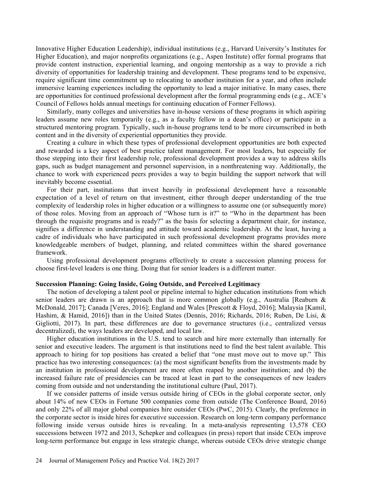Innovative Higher Education Leadership), individual institutions (e.g., Harvard University's Institutes for Higher Education), and major nonprofits organizations (e.g., Aspen Institute) offer formal programs that provide content instruction, experiential learning, and ongoing mentorship as a way to provide a rich diversity of opportunities for leadership training and development. These programs tend to be expensive, require significant time commitment up to relocating to another institution for a year, and often include immersive learning experiences including the opportunity to lead a major initiative. In many cases, there are opportunities for continued professional development after the formal programming ends (e.g., ACE's Council of Fellows holds annual meetings for continuing education of Former Fellows).

Similarly, many colleges and universities have in-house versions of these programs in which aspiring leaders assume new roles temporarily (e.g., as a faculty fellow in a dean's office) or participate in a structured mentoring program. Typically, such in-house programs tend to be more circumscribed in both content and in the diversity of experiential opportunities they provide.

Creating a culture in which these types of professional development opportunities are both expected and rewarded is a key aspect of best practice talent management. For most leaders, but especially for those stepping into their first leadership role, professional development provides a way to address skills gaps, such as budget management and personnel supervision, in a nonthreatening way. Additionally, the chance to work with experienced peers provides a way to begin building the support network that will inevitably become essential.

For their part, institutions that invest heavily in professional development have a reasonable expectation of a level of return on that investment, either through deeper understanding of the true complexity of leadership roles in higher education or a willingness to assume one (or subsequently more) of those roles. Moving from an approach of "Whose turn is it?" to "Who in the department has been through the requisite programs and is ready?" as the basis for selecting a department chair, for instance, signifies a difference in understanding and attitude toward academic leadership. At the least, having a cadre of individuals who have participated in such professional development programs provides more knowledgeable members of budget, planning, and related committees within the shared governance framework.

Using professional development programs effectively to create a succession planning process for choose first-level leaders is one thing. Doing that for senior leaders is a different matter.

## Succession Planning: Going Inside, Going Outside, and Perceived Legitimacy

The notion of developing a talent pool or pipeline internal to higher education institutions from which senior leaders are drawn is an approach that is more common globally (e.g., Australia [Reaburn & McDonald, 2017]; Canada [Veres, 2016]; England and Wales [Prescott & Floyd, 2016]; Malaysia [Kamil, Hashim, & Hamid, 2016]) than in the United States (Dennis, 2016; Richards, 2016; Ruben, De Lisi, & Gigliotti, 2017). In part, these differences are due to governance structures (i.e., centralized versus decentralized), the ways leaders are developed, and local law.

Higher education institutions in the U.S. tend to search and hire more externally than internally for senior and executive leaders. The argument is that institutions need to find the best talent available. This approach to hiring for top positions has created a belief that "one must move out to move up." This practice has two interesting consequences: (a) the most significant benefits from the investments made by an institution in professional development are more often reaped by another institution; and (b) the increased failure rate of presidencies can be traced at least in part to the consequences of new leaders coming from outside and not understanding the institutional culture (Paul, 2017).

If we consider patterns of inside versus outside hiring of CEOs in the global corporate sector, only about 14% of new CEOs in Fortune 500 companies come from outside (The Conference Board, 2016) and only 22% of all major global companies hire outsider CEOs (PwC, 2015). Clearly, the preference in the corporate sector is inside hires for executive succession. Research on long-term company performance following inside versus outside hires is revealing. In a meta-analysis representing 13,578 CEO successions between 1972 and 2013, Schepker and colleagues (in press) report that inside CEOs improve long-term performance but engage in less strategic change, whereas outside CEOs drive strategic change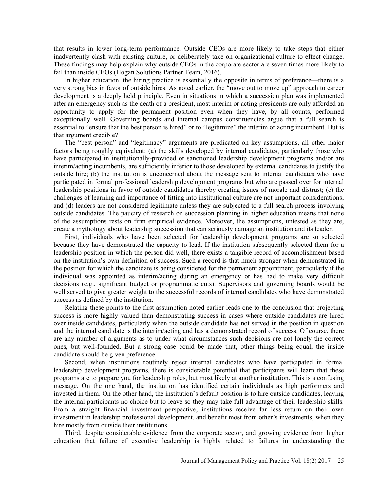that results in lower long-term performance. Outside CEOs are more likely to take steps that either inadvertently clash with existing culture, or deliberately take on organizational culture to effect change. These findings may help explain why outside CEOs in the corporate sector are seven times more likely to fail than inside CEOs (Hogan Solutions Partner Team, 2016).

In higher education, the hiring practice is essentially the opposite in terms of preference—there is a very strong bias in favor of outside hires. As noted earlier, the "move out to move up" approach to career development is a deeply held principle. Even in situations in which a succession plan was implemented after an emergency such as the death of a president, most interim or acting presidents are only afforded an opportunity to apply for the permanent position even when they have, by all counts, performed exceptionally well. Governing boards and internal campus constituencies argue that a full search is essential to "ensure that the best person is hired" or to "legitimize" the interim or acting incumbent. But is that argument credible?

The "best person" and "legitimacy" arguments are predicated on key assumptions, all other major factors being roughly equivalent: (a) the skills developed by internal candidates, particularly those who have participated in institutionally-provided or sanctioned leadership development programs and/or are interim/acting incumbents, are sufficiently inferior to those developed by external candidates to justify the outside hire; (b) the institution is unconcerned about the message sent to internal candidates who have participated in formal professional leadership development programs but who are passed over for internal leadership positions in favor of outside candidates thereby creating issues of morale and distrust; (c) the challenges of learning and importance of fitting into institutional culture are not important considerations; and (d) leaders are not considered legitimate unless they are subjected to a full search process involving outside candidates. The paucity of research on succession planning in higher education means that none of the assumptions rests on firm empirical evidence. Moreover, the assumptions, untested as they are, create a mythology about leadership succession that can seriously damage an institution and its leader.

First, individuals who have been selected for leadership development programs are so selected because they have demonstrated the capacity to lead. If the institution subsequently selected them for a leadership position in which the person did well, there exists a tangible record of accomplishment based on the institution's own definition of success. Such a record is that much stronger when demonstrated in the position for which the candidate is being considered for the permanent appointment, particularly if the individual was appointed as interim/acting during an emergency or has had to make very difficult decisions (e.g., significant budget or programmatic cuts). Supervisors and governing boards would be well served to give greater weight to the successful records of internal candidates who have demonstrated success as defined by the institution.

Relating these points to the first assumption noted earlier leads one to the conclusion that projecting success is more highly valued than demonstrating success in cases where outside candidates are hired over inside candidates, particularly when the outside candidate has not served in the position in question and the internal candidate is the interim/acting and has a demonstrated record of success. Of course, there are any number of arguments as to under what circumstances such decisions are not lonely the correct ones, but well-founded. But a strong case could be made that, other things being equal, the inside candidate should be given preference.

Second, when institutions routinely reject internal candidates who have participated in formal leadership development programs, there is considerable potential that participants will learn that these programs are to prepare you for leadership roles, but most likely at another institution. This is a confusing message. On the one hand, the institution has identified certain individuals as high performers and invested in them. On the other hand, the institution's default position is to hire outside candidates, leaving the internal participants no choice but to leave so they may take full advantage of their leadership skills. From a straight financial investment perspective, institutions receive far less return on their own investment in leadership professional development, and benefit most from other's investments, when they hire mostly from outside their institutions.

Third, despite considerable evidence from the corporate sector, and growing evidence from higher education that failure of executive leadership is highly related to failures in understanding the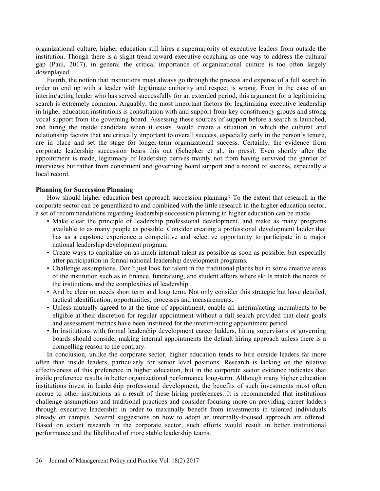organizational culture, higher education still hires a supermajority of executive leaders from outside the institution. Though there is a slight trend toward executive coaching as one way to address the cultural gap (Paul, 2017), in general the critical importance of organizational culture is too often largely downplayed.

Fourth, the notion that institutions must always go through the process and expense of a full search in order to end up with a leader with legitimate authority and respect is wrong. Even in the case of an interim/acting leader who has served successfully for an extended period, this argument for a legitimizing search is extremely common. Arguably, the most important factors for legitimizing executive leadership in higher education institutions is consultation with and support from key constituency groups and strong vocal support from the governing board. Assessing these sources of support before a search is launched, and hiring the inside candidate when it exists, would create a situation in which the cultural and relationship factors that are critically important to overall success, especially early in the person's tenure, are in place and set the stage for longer-term organizational success. Certainly, the evidence from corporate leadership succession bears this out (Schepker et al., in press). Even shortly after the appointment is made, legitimacy of leadership derives mainly not from having survived the gantlet of interviews but rather from constituent and governing board support and a record of success, especially a local record.

#### Planning for Succession Planning

How should higher education best approach succession planning? To the extent that research in the corporate sector can be generalized to and combined with the little research in the higher education sector, a set of recommendations regarding leadership succession planning in higher education can be made.

- Make clear the principle of leadership professional development, and make as many programs available to as many people as possible. Consider creating a professional development ladder that has as a capstone experience a competitive and selective opportunity to participate in a major national leadership development program.
- Create ways to capitalize on as much internal talent as possible as soon as possible, but especially after participation in formal national leadership development programs.
- Challenge assumptions. Don't just look for talent in the traditional places but in some creative areas of the institution such as in finance, fundraising, and student affairs where skills match the needs of the institutions and the complexities of leadership.
- And be clear on needs short term and long term. Not only consider this strategic but have detailed, tactical identification, opportunities, processes and measurements.
- Unless mutually agreed to at the time of appointment, enable all interim/acting incumbents to be eligible at their discretion for regular appointment without a full search provided that clear goals and assessment metrics have been instituted for the interim/acting appointment period.
- In institutions with formal leadership development career ladders, hiring supervisors or governing boards should consider making internal appointments the default hiring approach unless there is a compelling reason to the contrary.

In conclusion, unlike the corporate sector, higher education tends to hire outside leaders far more often than inside leaders, particularly for senior level positions. Research is lacking on the relative effectiveness of this preference in higher education, but in the corporate sector evidence indicates that inside preference results in better organizational performance long-term. Although many higher education institutions invest in leadership professional development, the benefits of such investments most often accrue to other institutions as a result of these hiring preferences. It is recommended that institutions challenge assumptions and traditional practices and consider focusing more on providing career ladders through executive leadership in order to maximally benefit from investments in talented individuals already on campus. Several suggestions on how to adopt an internally-focused approach are offered. Based on extant research in the corporate sector, such efforts would result in better institutional performance and the likelihood of more stable leadership teams.